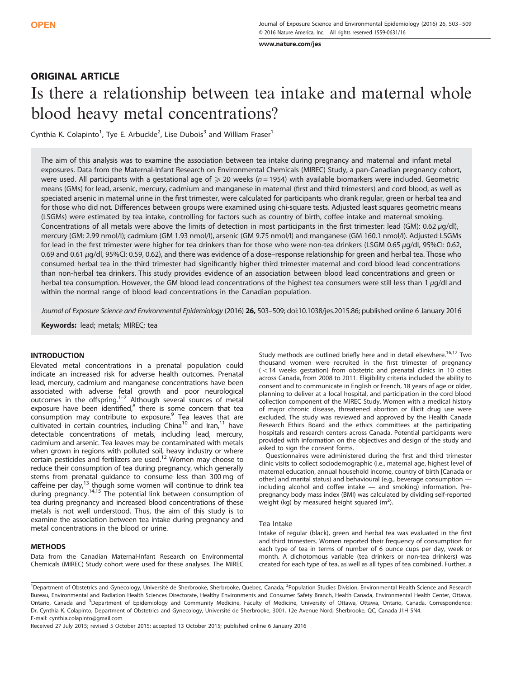[www.nature.com/jes](http://www.nature.com/jes)

# ORIGINAL ARTICLE

# Is there a relationship between tea intake and maternal whole blood heavy metal concentrations?

Cynthia K. Colapinto<sup>1</sup>, Tye E. Arbuckle<sup>2</sup>, Lise Dubois<sup>3</sup> and William Fraser<sup>1</sup>

The aim of this analysis was to examine the association between tea intake during pregnancy and maternal and infant metal exposures. Data from the Maternal-Infant Research on Environmental Chemicals (MIREC) Study, a pan-Canadian pregnancy cohort, were used. All participants with a gestational age of  $\geqslant$  20 weeks (n = 1954) with available biomarkers were included. Geometric means (GMs) for lead, arsenic, mercury, cadmium and manganese in maternal (first and third trimesters) and cord blood, as well as speciated arsenic in maternal urine in the first trimester, were calculated for participants who drank regular, green or herbal tea and for those who did not. Differences between groups were examined using chi-square tests. Adjusted least squares geometric means (LSGMs) were estimated by tea intake, controlling for factors such as country of birth, coffee intake and maternal smoking. Concentrations of all metals were above the limits of detection in most participants in the first trimester: lead (GM): 0.62 μg/dl), mercury (GM: 2.99 nmol/l); cadmium (GM 1.93 nmol/l), arsenic (GM 9.75 nmol/l) and manganese (GM 160.1 nmol/l). Adjusted LSGMs for lead in the first trimester were higher for tea drinkers than for those who were non-tea drinkers (LSGM 0.65 μg/dl, 95%CI: 0.62, 0.69 and 0.61 μg/dl, 95%CI: 0.59, 0.62), and there was evidence of a dose–response relationship for green and herbal tea. Those who consumed herbal tea in the third trimester had significantly higher third trimester maternal and cord blood lead concentrations than non-herbal tea drinkers. This study provides evidence of an association between blood lead concentrations and green or herbal tea consumption. However, the GM blood lead concentrations of the highest tea consumers were still less than 1 μg/dl and within the normal range of blood lead concentrations in the Canadian population.

Journal of Exposure Science and Environmental Epidemiology (2016) 26, 503–509; doi:[10.1038/jes.2015.86;](http://dx.doi.org/10.1038/jes.2015.86) published online 6 January 2016

Keywords: lead; metals; MIREC; tea

## INTRODUCTION

Elevated metal concentrations in a prenatal population could indicate an increased risk for adverse health outcomes. Prenatal lead, mercury, cadmium and manganese concentrations have been associated with adverse [feta](#page-6-0)l growth and poor neurological outcomes in the offspring.1–<sup>7</sup> Although several sources of metal exposure have been identified, $8$  there is some concern that tea consumption may contribute to exposure.<sup>[9](#page-6-0)</sup> Tea leaves that are cultivated in certain countries, including China<sup>10</sup> and Iran,<sup>[11](#page-6-0)</sup> have detectable concentrations of metals, including lead, mercury, cadmium and arsenic. Tea leaves may be contaminated with metals when grown in regions with polluted soil, heavy industry or where certain pesticides and fertilizers are used.<sup>[12](#page-6-0)</sup> Women may choose to reduce their consumption of tea during pregnancy, which generally stems from prenatal guidance to consume less than 300 mg of caffeine per day,<sup>13</sup> though some women will continue to drink tea during pregnancy[.14,15](#page-6-0) The potential link between consumption of tea during pregnancy and increased blood concentrations of these metals is not well understood. Thus, the aim of this study is to examine the association between tea intake during pregnancy and metal concentrations in the blood or urine.

## **METHODS**

Data from the Canadian Maternal-Infant Research on Environmental Chemicals (MIREC) Study cohort were used for these analyses. The MIREC Study methods are outlined briefly here and in detail elsewhere.<sup>16,17</sup> Two thousand women were recruited in the first trimester of pregnancy  $(<$  14 weeks gestation) from obstetric and prenatal clinics in 10 cities across Canada, from 2008 to 2011. Eligibility criteria included the ability to consent and to communicate in English or French, 18 years of age or older, planning to deliver at a local hospital, and participation in the cord blood collection component of the MIREC Study. Women with a medical history of major chronic disease, threatened abortion or illicit drug use were excluded. The study was reviewed and approved by the Health Canada Research Ethics Board and the ethics committees at the participating hospitals and research centers across Canada. Potential participants were provided with information on the objectives and design of the study and asked to sign the consent forms.

Questionnaires were administered during the first and third trimester clinic visits to collect sociodemographic (i.e., maternal age, highest level of maternal education, annual household income, country of birth [Canada or other] and marital status) and behavioural (e.g., beverage consumption including alcohol and coffee intake — and smoking) information. Prepregnancy body mass index (BMI) was calculated by dividing self-reported weight (kg) by measured height squared  $(m^2)$ .

#### Tea Intake

Intake of regular (black), green and herbal tea was evaluated in the first and third trimesters. Women reported their frequency of consumption for each type of tea in terms of number of 6 ounce cups per day, week or month. A dichotomous variable (tea drinkers or non-tea drinkers) was created for each type of tea, as well as all types of tea combined. Further, a

<sup>1</sup>Department of Obstetrics and Gynecology, Université de Sherbrooke, Sherbrooke, Quebec, Canada; <sup>2</sup>Population Studies Division, Environmental Health Science and Research Bureau, Environmental and Radiation Health Sciences Directorate, Healthy Environments and Consumer Safety Branch, Health Canada, Environmental Health Center, Ottawa, Ontario, Canada and <sup>3</sup>Department of Epidemiology and Community Medicine, Faculty of Medicine, University of Ottawa, Ottawa, Ontario, Canada. Correspondence: Dr. Cynthia K. Colapinto, Department of Obstetrics and Gynecology, Université de Sherbrooke, 3001, 12e Avenue Nord, Sherbrooke, QC, Canada J1H 5N4. E-mail: [cynthia.colapinto@gmail.com](mailto:cynthia.colapinto@gmail.com)

Received 27 July 2015; revised 5 October 2015; accepted 13 October 2015; published online 6 January 2016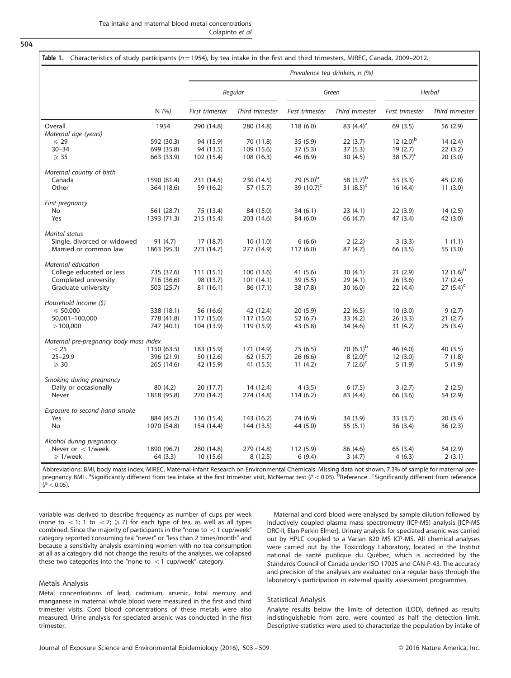<span id="page-1-0"></span>504

|                                                      |             | Prevalence tea drinkers, n (%) |                 |                       |                 |                 |                 |  |
|------------------------------------------------------|-------------|--------------------------------|-----------------|-----------------------|-----------------|-----------------|-----------------|--|
|                                                      |             | Regular                        |                 | Green                 |                 | Herbal          |                 |  |
|                                                      | N(%)        | First trimester                | Third trimester | First trimester       | Third trimester | First trimester | Third trimester |  |
| Overall                                              | 1954        | 290 (14.8)                     | 280 (14.8)      | 118(6.0)              | 83 $(4.4)^a$    | 69 (3.5)        | 56 (2.9)        |  |
| Maternal age (years)                                 |             |                                |                 |                       |                 |                 |                 |  |
| $\leqslant$ 29                                       | 592 (30.3)  | 94 (15.9)                      | 70 (11.8)       | 35(5.9)               | 22(3.7)         | 12 $(2.0)^{b}$  | 14(2.4)         |  |
| $30 - 34$                                            | 699 (35.8)  | 94 (13.5)                      | 109 (15.6)      | 37 (5.3)              | 37(5.3)         | 19(2.7)         | 22(3.2)         |  |
| $\geqslant$ 35                                       | 663 (33.9)  | 102 (15.4)                     | 108 (16.3)      | 46 (6.9)              | 30(4.5)         | 38 $(5.7)^c$    | 20(3.0)         |  |
| Maternal country of birth                            |             |                                |                 |                       |                 |                 |                 |  |
| Canada                                               | 1590 (81.4) | 231 (14.5)                     | 230 (14.5)      | 79 (5.0) <sup>b</sup> | 58 $(3.7)^{b}$  | 53 (3.3)        | 45 (2.8)        |  |
| Other                                                | 364 (18.6)  | 59 (16.2)                      | 57 (15.7)       | 39 $(10.7)^c$         | 31 $(8.5)^c$    | 16(4.4)         | 11(3.0)         |  |
| First pregnancy                                      |             |                                |                 |                       |                 |                 |                 |  |
| No                                                   | 561 (28.7)  | 75 (13.4)                      | 84 (15.0)       | 34(6.1)               | 23(4.1)         | 22(3.9)         | 14(2.5)         |  |
| Yes                                                  | 1393 (71.3) | 215 (15.4)                     | 203 (14.6)      | 84 (6.0)              | 66 (4.7)        | 47 (3.4)        | 42 (3.0)        |  |
|                                                      |             |                                |                 |                       |                 |                 |                 |  |
| <b>Marital status</b><br>Single, divorced or widowed |             |                                |                 |                       | 2(2.2)          | 3(3.3)          |                 |  |
|                                                      | 91 (4.7)    | 17(18.7)                       | 10(11.0)        | 6(6.6)                |                 |                 | 1(1.1)          |  |
| Married or common law                                | 1863 (95.3) | 273 (14.7)                     | 277 (14.9)      | 112(6.0)              | 87 (4.7)        | 66 (3.5)        | 55 (3.0)        |  |
| Maternal education                                   |             |                                |                 |                       |                 |                 |                 |  |
| College educated or less                             | 735 (37.6)  | 111(15.1)                      | 100(13.6)       | 41 (5.6)              | 30(4.1)         | 21(2.9)         | 12 $(1.6)^b$    |  |
| Completed university                                 | 716 (36.6)  | 98 (13.7)                      | 101(14.1)       | 39 (5.5)              | 29(4.1)         | 26(3.6)         | 17(2.4)         |  |
| Graduate university                                  | 503 (25.7)  | 81 (16.1)                      | 86 (17.1)       | 38 (7.8)              | 30(6.0)         | 22(4.4)         | 27 $(5.4)^c$    |  |
| Household income $(5)$                               |             |                                |                 |                       |                 |                 |                 |  |
| $\leq 50,000$                                        | 338 (18.1)  | 56 (16.6)                      | 42 (12.4)       | 20 (5.9)              | 22(6.5)         | 10(3.0)         | 9(2.7)          |  |
| 50,001-100,000                                       | 778 (41.8)  | 117 (15.0)                     | 117 (15.0)      | 52 (6.7)              | 33(4.2)         | 26(3.3)         | 21(2.7)         |  |
| >100,000                                             | 747 (40.1)  | 104 (13.9)                     | 119 (15.9)      | 43 (5.8)              | 34 (4.6)        | 31(4.2)         | 25(3.4)         |  |
| Maternal pre-pregnancy body mass index               |             |                                |                 |                       |                 |                 |                 |  |
| $<$ 25                                               | 1150 (63.5) | 183 (15.9)                     | 171 (14.9)      | 75 (6.5)              | 70 $(6.1)^b$    | 46 (4.0)        | 40 (3.5)        |  |
| $25 - 29.9$                                          | 396 (21.9)  | 50 (12.6)                      | 62 (15.7)       | 26 (6.6)              | $8(2.0)^c$      | 12(3.0)         | 7(1.8)          |  |
| $\geqslant$ 30                                       | 265 (14.6)  | 42 (15.9)                      | 41 (15.5)       | 11(4.2)               | 7 $(2.6)^c$     | 5(1.9)          | 5(1.9)          |  |
| Smoking during pregnancy                             |             |                                |                 |                       |                 |                 |                 |  |
| Daily or occasionally                                | 80 (4.2)    | 20 (17.7)                      | 14 (12.4)       | 4(3.5)                | 6(7.5)          | 3(2.7)          | 2(2.5)          |  |
| Never                                                | 1818 (95.8) | 270 (14.7)                     | 274 (14.8)      | 114(6.2)              | 83 (4.4)        | 66 (3.6)        | 54 (2.9)        |  |
|                                                      |             |                                |                 |                       |                 |                 |                 |  |
| Exposure to second hand smoke<br>Yes                 |             |                                |                 | 74 (6.9)              |                 | 33(3.7)         | 20(3.4)         |  |
|                                                      | 884 (45.2)  | 136 (15.4)                     | 143 (16.2)      |                       | 34 (3.9)        |                 |                 |  |
| <b>No</b>                                            | 1070 (54.8) | 154 (14.4)                     | 144 (13.5)      | 44 (5.0)              | 55(5.1)         | 36 (3.4)        | 36(2.3)         |  |
| Alcohol during pregnancy                             |             |                                |                 |                       |                 |                 |                 |  |
| Never or $<$ 1/week                                  | 1890 (96.7) | 280 (14.8)                     | 279 (14.8)      | 112 (5.9)             | 86 (4.6)        | 65 (3.4)        | 54 (2.9)        |  |
| $\geqslant$ 1/week                                   | 64 (3.3)    | 10 (15.6)                      | 8(12.5)         | 6(9.4)                | 3(4.7)          | 4(6.3)          | 2(3.1)          |  |

Abbreviations: BMI, body mass index; MIREC, Maternal-Infant Research on Environmental Chemicals. Missing data not shown, 7.3% of sample for maternal prepregnancy BMI . <sup>a</sup>Significantly different from tea intake at the first trimester visit, McNemar test (P < 0.05). PReference . Significantly different from reference  $(P < 0.05)$ .

variable was derived to describe frequency as number of cups per week (none to  $\langle 1; 1$  to  $\langle 7; \rangle \ge 7$ ) for each type of tea, as well as all types combined. Since the majority of participants in the "none to  $<$  1 cup/week" category reported consuming tea "never" or "less than 2 times/month" and because a sensitivity analysis examining women with no tea consumption at all as a category did not change the results of the analyses, we collapsed these two categories into the "none to  $<$  1 cup/week" category.

### Metals Analysis

Metal concentrations of lead, cadmium, arsenic, total mercury and manganese in maternal whole blood were measured in the first and third trimester visits. Cord blood concentrations of these metals were also measured. Urine analysis for speciated arsenic was conducted in the first trimester.

Maternal and cord blood were analysed by sample dilution followed by inductively coupled plasma mass spectrometry (ICP-MS) analysis [ICP-MS DRC-II; Elan Perkin Elmer]. Urinary analysis for speciated arsenic was carried out by HPLC coupled to a Varian 820 MS ICP-MS. All chemical analyses were carried out by the Toxicology Laboratory, located in the Institut national de santé publique du Québec, which is accredited by the Standards Council of Canada under ISO 17025 and CAN-P-43. The accuracy and precision of the analyses are evaluated on a regular basis through the laboratory's participation in external quality assessment programmes.

### Statistical Analysis

Analyte results below the limits of detection (LOD), defined as results indistinguishable from zero, were counted as half the detection limit. Descriptive statistics were used to characterize the population by intake of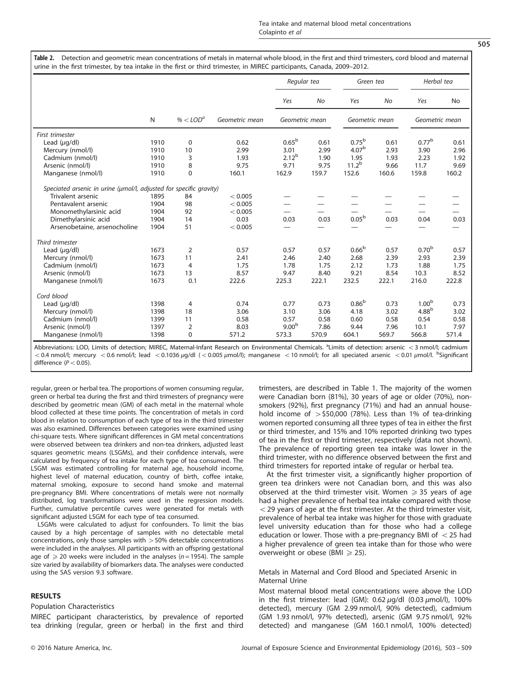<span id="page-2-0"></span>

|                                                                    |      |                        |                | Regular tea              |       | Green tea         |       | Herbal tea               |           |
|--------------------------------------------------------------------|------|------------------------|----------------|--------------------------|-------|-------------------|-------|--------------------------|-----------|
|                                                                    |      |                        |                | Yes                      | No    | Yes               | No    | Yes                      | <b>No</b> |
|                                                                    | N    | % $<$ LOD <sup>a</sup> | Geometric mean | Geometric mean           |       | Geometric mean    |       | Geometric mean           |           |
| First trimester                                                    |      |                        |                |                          |       |                   |       |                          |           |
| Lead $(\mu q/d)$                                                   | 1910 | 0                      | 0.62           | 0.65 <sup>b</sup>        | 0.61  | $0.75^{b}$        | 0.61  | 0.77 <sup>b</sup>        | 0.61      |
| Mercury (nmol/l)                                                   | 1910 | 10                     | 2.99           | 3.01                     | 2.99  | 4.07 <sup>b</sup> | 2.93  | 3.90                     | 2.96      |
| Cadmium (nmol/l)                                                   | 1910 | 3                      | 1.93           | $2.12^{b}$               | 1.90  | 1.95              | 1.93  | 2.23                     | 1.92      |
| Arsenic (nmol/l)                                                   | 1910 | 8                      | 9.75           | 9.71                     | 9.75  | $11.2^{b}$        | 9.66  | 11.7                     | 9.69      |
| Manganese (nmol/l)                                                 | 1910 | $\mathbf 0$            | 160.1          | 162.9                    | 159.7 | 152.6             | 160.6 | 159.8                    | 160.2     |
| Speciated arsenic in urine (umol/l, adjusted for specific gravity) |      |                        |                |                          |       |                   |       |                          |           |
| Trivalent arsenic                                                  | 1895 | 84                     | < 0.005        |                          |       |                   |       |                          |           |
| Pentavalent arsenic                                                | 1904 | 98                     | < 0.005        |                          |       |                   |       |                          |           |
| Monomethylarsinic acid                                             | 1904 | 92                     | < 0.005        | $\overline{\phantom{0}}$ |       |                   |       | $\overline{\phantom{0}}$ |           |
| Dimethylarsinic acid                                               | 1904 | 14                     | 0.03           | 0.03                     | 0.03  | 0.05 <sup>b</sup> | 0.03  | 0.04                     | 0.03      |
| Arsenobetaine, arsenocholine                                       | 1904 | 51                     | < 0.005        |                          |       |                   |       |                          |           |
| Third trimester                                                    |      |                        |                |                          |       |                   |       |                          |           |
| Lead $(\mu q/d)$                                                   | 1673 | 2                      | 0.57           | 0.57                     | 0.57  | 0.66 <sup>b</sup> | 0.57  | 0.70 <sup>b</sup>        | 0.57      |
| Mercury (nmol/l)                                                   | 1673 | 11                     | 2.41           | 2.46                     | 2.40  | 2.68              | 2.39  | 2.93                     | 2.39      |
| Cadmium (nmol/l)                                                   | 1673 | $\overline{4}$         | 1.75           | 1.78                     | 1.75  | 2.12              | 1.73  | 1.88                     | 1.75      |
| Arsenic (nmol/l)                                                   | 1673 | 13                     | 8.57           | 9.47                     | 8.40  | 9.21              | 8.54  | 10.3                     | 8.52      |
| Manganese (nmol/l)                                                 | 1673 | 0.1                    | 222.6          | 225.3                    | 222.1 | 232.5             | 222.1 | 216.0                    | 222.8     |
| Cord blood                                                         |      |                        |                |                          |       |                   |       |                          |           |
| Lead $(\mu q/d)$                                                   | 1398 | $\overline{4}$         | 0.74           | 0.77                     | 0.73  | 0.86 <sup>b</sup> | 0.73  | 1.00 <sup>b</sup>        | 0.73      |
| Mercury (nmol/l)                                                   | 1398 | 18                     | 3.06           | 3.10                     | 3.06  | 4.18              | 3.02  | 4.88 <sup>b</sup>        | 3.02      |
| Cadmium (nmol/l)                                                   | 1399 | 11                     | 0.58           | 0.57                     | 0.58  | 0.60              | 0.58  | 0.54                     | 0.58      |
| Arsenic (nmol/l)                                                   | 1397 | $\overline{2}$         | 8.03           | 9.00 <sup>b</sup>        | 7.86  | 9.44              | 7.96  | 10.1                     | 7.97      |
| Manganese (nmol/l)                                                 | 1398 | $\mathbf 0$            | 571.2          | 573.3                    | 570.9 | 604.1             | 569.7 | 566.8                    | 571.4     |

Abbreviations: LOD, Limits of detection; MIREC, Maternal-Infant Research on Environmental Chemicals. <sup>a</sup>Limits of detection: arsenic < 3 nmol/l; cadmium  $<$  0.4 nmol/l; mercury  $<$  0.6 nmol/l; lead  $<$  0.1036  $\mu$ g/dl ( $<$  0.005  $\mu$ mol/l); manganese  $<$  10 nmol/l; for all speciated arsenic  $<$  0.01  $\mu$ mol/l. <sup>b</sup>Significant difference  $(P < 0.05)$ .

regular, green or herbal tea. The proportions of women consuming regular, green or herbal tea during the first and third trimesters of pregnancy were described by geometric mean (GM) of each metal in the maternal whole blood collected at these time points. The concentration of metals in cord blood in relation to consumption of each type of tea in the third trimester was also examined. Differences between categories were examined using chi-square tests. Where significant differences in GM metal concentrations were observed between tea drinkers and non-tea drinkers, adjusted least squares geometric means (LSGMs), and their confidence intervals, were calculated by frequency of tea intake for each type of tea consumed. The LSGM was estimated controlling for maternal age, household income, highest level of maternal education, country of birth, coffee intake, maternal smoking, exposure to second hand smoke and maternal pre-pregnancy BMI. Where concentrations of metals were not normally distributed, log transformations were used in the regression models. Further, cumulative percentile curves were generated for metals with significant adjusted LSGM for each type of tea consumed.

LSGMs were calculated to adjust for confounders. To limit the bias caused by a high percentage of samples with no detectable metal concentrations, only those samples with  $>50%$  detectable concentrations were included in the analyses. All participants with an offspring gestational age of  $\geqslant$  20 weeks were included in the analyses (n = 1954). The sample size varied by availability of biomarkers data. The analyses were conducted using the SAS version 9.3 software.

## RESULTS

## Population Characteristics

MIREC participant characteristics, by prevalence of reported tea drinking (regular, green or herbal) in the first and third trimesters, are described in [Table 1](#page-1-0). The majority of the women were Canadian born (81%), 30 years of age or older (70%), nonsmokers (92%), first pregnancy (71%) and had an annual household income of  $>$  \$50,000 (78%). Less than 1% of tea-drinking women reported consuming all three types of tea in either the first or third trimester, and 15% and 10% reported drinking two types of tea in the first or third trimester, respectively (data not shown). The prevalence of reporting green tea intake was lower in the third trimester, with no difference observed between the first and third trimesters for reported intake of regular or herbal tea.

At the first trimester visit, a significantly higher proportion of green tea drinkers were not Canadian born, and this was also observed at the third trimester visit. Women  $\geq 35$  years of age had a higher prevalence of herbal tea intake compared with those  $<$  29 years of age at the first trimester. At the third trimester visit, prevalence of herbal tea intake was higher for those with graduate level university education than for those who had a college education or lower. Those with a pre-pregnancy BMI of  $<$  25 had a higher prevalence of green tea intake than for those who were overweight or obese (BMI  $\ge$  25).

## Metals in Maternal and Cord Blood and Speciated Arsenic in Maternal Urine

Most maternal blood metal concentrations were above the LOD in the first trimester: lead (GM):  $0.62 \mu g/dl$  (0.03  $\mu$ mol/l), 100% detected), mercury (GM 2.99 nmol/l, 90% detected), cadmium (GM 1.93 nmol/l, 97% detected), arsenic (GM 9.75 nmol/l, 92% detected) and manganese (GM 160.1 nmol/l, 100% detected)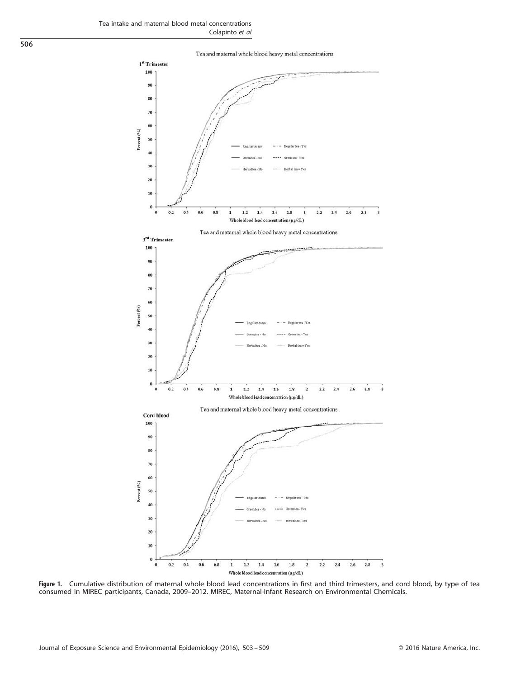

Whole blood lead concentration (µg/dL)

Figure 1. Cumulative distribution of maternal whole blood lead concentrations in first and third trimesters, and cord blood, by type of tea consumed in MIREC participants, Canada, 2009–2012. MIREC, Maternal-Infant Research on Environmental Chemicals.

<span id="page-3-0"></span>506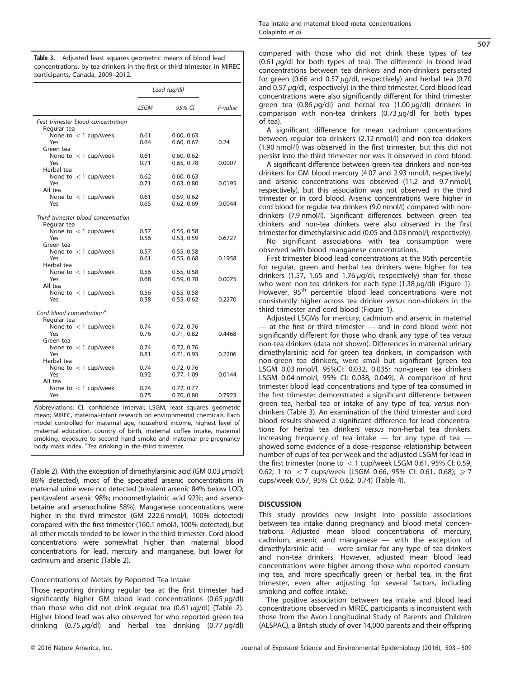Table 3. Adjusted least squares geometric means of blood lead concentrations, by tea drinkers in the first or third trimester, in MIREC participants, Canada, 2009–2012.

|                                                      | Lead $(\mu q/dl)$ |                          |         |
|------------------------------------------------------|-------------------|--------------------------|---------|
|                                                      | LSGM              | 95% CI                   | P-value |
| First trimester blood concentration<br>Regular tea   |                   |                          |         |
| None to $<$ 1 cup/week<br>Yes                        | 0.61<br>0.64      | 0.60, 0.63<br>0.60, 0.67 | 0.24    |
| Green tea<br>None to $<$ 1 cup/week                  | 0.61              | 0.60, 0.62               |         |
| Yes<br>Herbal tea                                    | 0.71              | 0.65, 0.78               | 0.0007  |
| None to $<$ 1 cup/week<br>Yes<br>All tea             | 0.62<br>0.71      | 0.60, 0.63<br>0.63, 0.80 | 0.0195  |
| None to $<$ 1 cup/week<br>Yes                        | 0.61<br>0.65      | 0.59, 0.62<br>0.62, 0.69 | 0.0044  |
| Third trimester blood concentration                  |                   |                          |         |
| Regular tea<br>None to $<$ 1 cup/week<br>Yes         | 0.57<br>0.56      | 0.55, 0.58<br>0.53, 0.59 | 0.6727  |
| Green tea<br>None to $<$ 1 cup/week<br>Yes           | 0.57<br>0.61      | 0.55, 0.58<br>0.55, 0.68 | 0.1958  |
| Herbal tea<br>None to $<$ 1 cup/week<br>Yes          | 0.56<br>0.68      | 0.55, 0.58<br>0.59, 0.78 | 0.0075  |
| All tea<br>None to $<$ 1 cup/week<br>Yes             | 0.56<br>0.58      | 0.55, 0.58<br>0.55, 0.62 | 0.2270  |
| Cord blood concentration <sup>a</sup><br>Regular tea |                   |                          |         |
| None to $<$ 1 cup/week<br>Yes                        | 0.74<br>0.76      | 0.72, 0.76<br>0.71, 0.82 | 0.4468  |
| Green tea<br>None to $<$ 1 cup/week<br>Yes           | 0.74<br>0.81      | 0.72, 0.76<br>0.71, 0.93 | 0.2206  |
| Herbal tea<br>None to $<$ 1 cup/week<br>Yes          | 0.74<br>0.92      | 0.72, 0.76<br>0.77, 1.09 | 0.0144  |
| All tea<br>None to $<$ 1 cup/week<br>Yes             | 0.74<br>0.75      | 0.72, 0.77<br>0.70, 0.80 | 0.7923  |

Abbreviations: CI, confidence interval; LSGM, least squares geometric mean; MIREC, maternal-infant research on environmental chemicals. Each model controlled for maternal age, household income, highest level of maternal education, country of birth, maternal coffee intake, maternal smoking, exposure to second hand smoke and maternal pre-pregnancy body mass index. <sup>a</sup> Tea drinking in the third trimester.

[\(Table 2](#page-2-0)). With the exception of dimethylarsinic acid (GM 0.03  $\mu$ mol/l; 86% detected), most of the speciated arsenic concentrations in maternal urine were not detected (trivalent arsenic 84% below LOD; pentavalent arsenic 98%; monomethylarinic acid 92%; and arsenobetaine and arsenocholine 58%). Manganese concentrations were higher in the third trimester (GM 222.6 nmol/l, 100% detected) compared with the first trimester (160.1 nmol/l, 100% detected), but all other metals tended to be lower in the third trimester. Cord blood concentrations were somewhat higher than maternal blood concentrations for lead, mercury and manganese, but lower for cadmium and arsenic ([Table 2\)](#page-2-0).

# Concentrations of Metals by Reported Tea Intake

Those reporting drinking regular tea at the first trimester had significantly higher GM blood lead concentrations  $(0.65 \mu g/dl)$ than those who did not drink regular tea  $(0.61 \mu g/d)$  [\(Table 2\)](#page-2-0). Higher blood lead was also observed for who reported green tea drinking  $(0.75 \mu g/d)$  and herbal tea drinking  $(0.77 \mu g/d)$ 

compared with those who did not drink these types of tea (0.61 μg/dl for both types of tea). The difference in blood lead concentrations between tea drinkers and non-drinkers persisted for green (0.66 and 0.57 μg/dl, respectively) and herbal tea (0.70 and 0.57  $\mu$ g/dl, respectively) in the third trimester. Cord blood lead concentrations were also significantly different for third trimester green tea (0.86  $\mu$ g/dl) and herbal tea (1.00  $\mu$ g/dl) drinkers in comparison with non-tea drinkers  $(0.73 \mu g/d)$  for both types of tea).

A significant difference for mean cadmium concentrations between regular tea drinkers (2.12 nmol/l) and non-tea drinkers (1.90 nmol/l) was observed in the first trimester, but this did not persist into the third trimester nor was it observed in cord blood.

A significant difference between green tea drinkers and non-tea drinkers for GM blood mercury (4.07 and 2.93 nmol/l, respectively) and arsenic concentrations was observed (11.2 and 9.7 nmol/l, respectively), but this association was not observed in the third trimester or in cord blood. Arsenic concentrations were higher in cord blood for regular tea drinkers (9.0 nmol/l) compared with nondrinkers (7.9 nmol/l). Significant differences between green tea drinkers and non-tea drinkers were also observed in the first trimester for dimethylarsinic acid (0.05 and 0.03 nmol/l, respectively).

No significant associations with tea consumption were observed with blood manganese concentrations.

First trimester blood lead concentrations at the 95th percentile for regular, green and herbal tea drinkers were higher for tea drinkers (1.57, 1.65 and 1.76 μg/dl, respectively) than for those who were non-tea drinkers for each type  $(1.38 \,\mu g/d)$  ([Figure 1\)](#page-3-0). However, 95<sup>th</sup> percentile blood lead concentrations were not consistently higher across tea drinker versus non-drinkers in the third trimester and cord blood ([Figure 1\)](#page-3-0).

Adjusted LSGMs for mercury, cadmium and arsenic in maternal — at the first or third trimester — and in cord blood were not significantly different for those who drank any type of tea versus non-tea drinkers (data not shown). Differences in maternal urinary dimethylarsinic acid for green tea drinkers, in comparison with non-green tea drinkers, were small but significant [green tea LSGM 0.03 nmol/l, 95%CI: 0.032, 0.035; non-green tea drinkers LSGM 0.04 nmol/l, 95% CI: 0.038, 0.049]. A comparison of first trimester blood lead concentrations and type of tea consumed in the first trimester demonstrated a significant difference between green tea, herbal tea or intake of any type of tea, versus nondrinkers (Table 3). An examination of the third trimester and cord blood results showed a significant difference for lead concentrations for herbal tea drinkers versus non-herbal tea drinkers. Increasing frequency of tea intake  $-$  for any type of tea  $$ showed some evidence of a dose–response relationship between number of cups of tea per week and the adjusted LSGM for lead in the first trimester (none to  $<$  1 cup/week LSGM 0.61, 95% CI: 0.59, 0.62; 1 to  $<$  7 cups/week (LSGM 0.66, 95% CI: 0.61, 0.68);  $\ge$  7 cups/week 0.67, 95% CI: 0.62, 0.74) [\(Table 4](#page-5-0)).

# **DISCUSSION**

This study provides new insight into possible associations between tea intake during pregnancy and blood metal concentrations. Adjusted mean blood concentrations of mercury, cadmium, arsenic and manganese — with the exception of dimethylarsinic acid — were similar for any type of tea drinkers and non-tea drinkers. However, adjusted mean blood lead concentrations were higher among those who reported consuming tea, and more specifically green or herbal tea, in the first trimester, even after adjusting for several factors, including smoking and coffee intake.

The positive association between tea intake and blood lead concentrations observed in MIREC participants is inconsistent with those from the Avon Longitudinal Study of Parents and Children (ALSPAC), a British study of over 14,000 parents and their offspring

507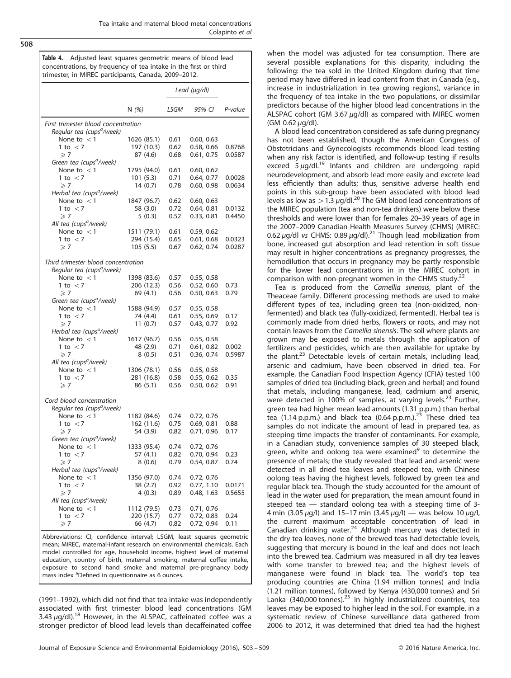<span id="page-5-0"></span>508

Table 4. Adjusted least squares geometric means of blood lead concentrations, by frequency of tea intake in the first or third trimester, in MIREC participants, Canada, 2009–2012.

|                                                       |           |             | Lead (µg/dl) |                          |         |  |  |
|-------------------------------------------------------|-----------|-------------|--------------|--------------------------|---------|--|--|
|                                                       | N $(\% )$ |             | LSGM         | 95% CI                   | P-value |  |  |
| First trimester blood concentration                   |           |             |              |                          |         |  |  |
| Regular tea (cups <sup>a</sup> /week)                 |           |             |              |                          |         |  |  |
| None to $<$ 1                                         |           | 1626 (85.1) | 0.61         | 0.60, 0.63               |         |  |  |
| 1 to $<$ 7                                            |           | 197 (10.3)  | 0.62         | 0.58, 0.66               | 0.8768  |  |  |
| $\geqslant$ 7<br>Green tea (cups <sup>a</sup> /week)  |           | 87 (4.6)    | 0.68         | 0.61, 0.75               | 0.0587  |  |  |
| None to $<$ 1                                         |           | 1795 (94.0) | 0.61         | 0.60, 0.62               |         |  |  |
| 1 to $<$ 7                                            |           | 101(5.3)    | 0.71         | 0.64, 0.77               | 0.0028  |  |  |
| $\geqslant$ 7                                         |           | 14(0.7)     | 0.78         | 0.60, 0.98               | 0.0634  |  |  |
| Herbal tea (cups <sup>a</sup> /week)                  |           |             |              |                          |         |  |  |
| None to $<$ 1                                         |           | 1847 (96.7) | 0.62         | 0.60, 0.63               |         |  |  |
| 1 to $<$ 7                                            |           | 58 (3.0)    | 0.72         | 0.64, 0.81               | 0.0132  |  |  |
| $\geqslant$ 7                                         |           | 5(0.3)      | 0.52         | 0.33, 0.81               | 0.4450  |  |  |
| All tea (cups <sup>a</sup> /week)                     |           |             |              |                          |         |  |  |
| None to $<$ 1                                         |           | 1511 (79.1) | 0.61         | 0.59, 0.62               |         |  |  |
| 1 to $<$ 7                                            |           | 294 (15.4)  | 0.65         | 0.61, 0.68               | 0.0323  |  |  |
| $\geqslant$ 7                                         |           | 105(5.5)    | 0.67         | 0.62, 0.74               | 0.0287  |  |  |
|                                                       |           |             |              |                          |         |  |  |
| Third trimester blood concentration                   |           |             |              |                          |         |  |  |
| Regular tea (cups <sup>a</sup> /week)                 |           |             |              |                          |         |  |  |
| None to $<$ 1                                         |           | 1398 (83.6) | 0.57         | 0.55, 0.58               |         |  |  |
| 1 to $<$ 7                                            |           | 206 (12.3)  | 0.56         | 0.52, 0.60               | 0.73    |  |  |
| $\geqslant$ 7<br>Green tea (cups <sup>a</sup> /week)  |           | 69 (4.1)    | 0.56         | 0.50, 0.63               | 0.79    |  |  |
| None to $<$ 1                                         |           | 1588 (94.9) | 0.57         | 0.55, 0.58               |         |  |  |
| 1 to $<$ 7                                            |           | 74 (4.4)    | 0.61         | 0.55, 0.69               | 0.17    |  |  |
| $\geqslant$ 7                                         |           | 11(0.7)     | 0.57         | 0.43, 0.77               | 0.92    |  |  |
| Herbal tea (cups <sup>a</sup> /week)                  |           |             |              |                          |         |  |  |
| None to $<$ 1                                         |           | 1617 (96.7) | 0.56         | 0.55, 0.58               |         |  |  |
| 1 to $<$ 7                                            |           | 48 (2.9)    | 0.71         | 0.61, 0.82               | 0.002   |  |  |
| $\geqslant$ 7                                         |           | 8(0.5)      | 0.51         | 0.36, 0.74               | 0.5987  |  |  |
| All tea (cups <sup>a</sup> /week)                     |           |             |              |                          |         |  |  |
| None to $<$ 1                                         |           | 1306 (78.1) | 0.56         | 0.55, 0.58               |         |  |  |
| 1 to $<$ 7                                            |           | 281 (16.8)  | 0.58         | 0.55, 0.62               | 0.35    |  |  |
| $\geqslant$ 7                                         |           | 86 (5.1)    | 0.56         | 0.50, 0.62               | 0.91    |  |  |
|                                                       |           |             |              |                          |         |  |  |
| Cord blood concentration                              |           |             |              |                          |         |  |  |
| Regular tea (cups <sup>a</sup> /week)                 |           |             |              |                          |         |  |  |
| None to $<$ 1                                         |           | 1182 (84.6) | 0.74         | 0.72, 0.76               |         |  |  |
| 1 to $<$ 7                                            |           | 162 (11.6)  | 0.75         | 0.69, 0.81               | 0.88    |  |  |
| $\geqslant$ 7                                         |           | 54 (3.9)    | 0.82         | 0.71, 0.96               | 0.17    |  |  |
| Green tea (cups <sup>a</sup> /week)                   |           |             |              |                          |         |  |  |
| None to $<$ 1                                         |           | 1333 (95.4) | 0.74         | 0.72, 0.76               |         |  |  |
| 1 to $<$ 7                                            |           | 57 (4.1)    | 0.82         | 0.70, 0.94               | 0.23    |  |  |
| $\geqslant$ 7<br>Herbal tea (cups <sup>a</sup> /week) |           | 8(0.6)      | 0.79         | 0.54, 0.87               | 0.74    |  |  |
|                                                       |           | 1356 (97.0) |              |                          |         |  |  |
| None to $<$ 1<br>1 to $<$ 7                           |           | 38 (2.7)    | 0.74<br>0.92 | 0.72, 0.76<br>0.77, 1.10 | 0.0171  |  |  |
|                                                       |           |             | 0.89         | 0.48, 1.63               | 0.5655  |  |  |
| $\geqslant$ 7<br>All tea (cups <sup>a</sup> /week)    |           | 4(0.3)      |              |                          |         |  |  |
| None to $<$ 1                                         |           | 1112 (79.5) | 0.73         | 0.71, 0.76               |         |  |  |
| 1 to $<$ 7                                            |           | 220 (15.7)  | 0.77         | 0.72, 0.83               | 0.24    |  |  |
| $\geqslant 7$                                         |           | 66 (4.7)    | 0.82         | 0.72, 0.94               | 0.11    |  |  |
|                                                       |           |             |              |                          |         |  |  |

Abbreviations: CI, confidence interval; LSGM, least squares geometric mean; MIREC, maternal-infant research on environmental chemicals. Each model controlled for age, household income, highest level of maternal education, country of birth, maternal smoking, maternal coffee intake, exposure to second hand smoke and maternal pre-pregnancy body mass index <sup>a</sup>Defined in questionnaire as 6 ounces.

(1991–1992), which did not find that tea intake was independently associated with first trimester blood lead concentrations (GM 3.43  $\mu$ g/dl).<sup>[18](#page-6-0)</sup> However, in the ALSPAC, caffeinated coffee was a stronger predictor of blood lead levels than decaffeinated coffee when the model was adjusted for tea consumption. There are several possible explanations for this disparity, including the following: the tea sold in the United Kingdom during that time period may have differed in lead content from that in Canada (e.g., increase in industrialization in tea growing regions), variance in the frequency of tea intake in the two populations, or dissimilar predictors because of the higher blood lead concentrations in the ALSPAC cohort (GM 3.67  $\mu$ g/dl) as compared with MIREC women (GM 0.62 μg/dl).

A blood lead concentration considered as safe during pregnancy has not been established, though the American Congress of Obstetricians and Gynecologists recommends blood lead testing when any risk factor is identified, and follow-up testing if results exceed  $5 \mu q/dl.<sup>19</sup>$  $5 \mu q/dl.<sup>19</sup>$  $5 \mu q/dl.<sup>19</sup>$  Infants and children are undergoing rapid neurodevelopment, and absorb lead more easily and excrete lead less efficiently than adults; thus, sensitive adverse health end points in this sub-group have been associated with blood lead levels as low as  $> 1.3 \mu g/dl$ .<sup>[20](#page-6-0)</sup> The GM blood lead concentrations of the MIREC population (tea and non-tea drinkers) were below these thresholds and were lower than for females 20–39 years of age in the 2007–2009 Canadian Health Measures Survey (CHMS) (MIREC: 0.62 μg/dl vs CHMS: 0.89 μg/dl).[21](#page-6-0) Though lead mobilization from bone, increased gut absorption and lead retention in soft tissue may result in higher concentrations as pregnancy progresses, the hemodilution that occurs in pregnancy may be partly responsible for the lower lead concentrations in in the MIREC cohort in comparison with non-pregnant women in the CHMS study.<sup>22</sup>

Tea is produced from the Camellia sinensis, plant of the Theaceae family. Different processing methods are used to make different types of tea, including green tea (non-oxidized, nonfermented) and black tea (fully-oxidized, fermented). Herbal tea is commonly made from dried herbs, flowers or roots, and may not contain leaves from the Camellia sinensis. The soil where plants are grown may be exposed to metals through the application of fertilizers and pesticides, which are then available for uptake by the plant.<sup>[23](#page-6-0)</sup> Detectable levels of certain metals, including lead, arsenic and cadmium, have been observed in dried tea. For example, the Canadian Food Inspection Agency (CFIA) tested 100 samples of dried tea (including black, green and herbal) and found that metals, including manganese, lead, cadmium and arsenic, were detected in 100% of samples, at varying levels. $^{23}$  $^{23}$  $^{23}$  Further, green tea had higher mean lead amounts (1.31 p.p.m.) than herbal tea  $(1.14 \text{ p.p.m.})$  and black tea  $(0.64 \text{ p.p.m.})^{23}$  $(0.64 \text{ p.p.m.})^{23}$  $(0.64 \text{ p.p.m.})^{23}$  These dried tea samples do not indicate the amount of lead in prepared tea, as steeping time impacts the transfer of contaminants. For example, in a Canadian study, convenience samples of 30 steeped black, green, white and oolong tea were examined<sup>[9](#page-6-0)</sup> to determine the presence of metals; the study revealed that lead and arsenic were detected in all dried tea leaves and steeped tea, with Chinese oolong teas having the highest levels, followed by green tea and regular black tea. Though the study accounted for the amount of lead in the water used for preparation, the mean amount found in steeped tea — standard oolong tea with a steeping time of 3- 4 min (3.05  $\mu$ g/l) and 15–17 min (3.45  $\mu$ g/l) — was below 10  $\mu$ g/l, the current maximum acceptable concentration of lead in Canadian drinking water. $24$  Although mercury was detected in the dry tea leaves, none of the brewed teas had detectable levels, suggesting that mercury is bound in the leaf and does not leach into the brewed tea. Cadmium was measured in all dry tea leaves with some transfer to brewed tea; and the highest levels of manganese were found in black tea. The world's top tea producing countries are China (1.94 million tonnes) and India (1.21 million tonnes), followed by Kenya (430,000 tonnes) and Sri Lanka  $(340,000 \text{ tonnes})$ <sup>[25](#page-6-0)</sup> In highly industrialized countries, tea leaves may be exposed to higher lead in the soil. For example, in a systematic review of Chinese surveillance data gathered from 2006 to 2012, it was determined that dried tea had the highest